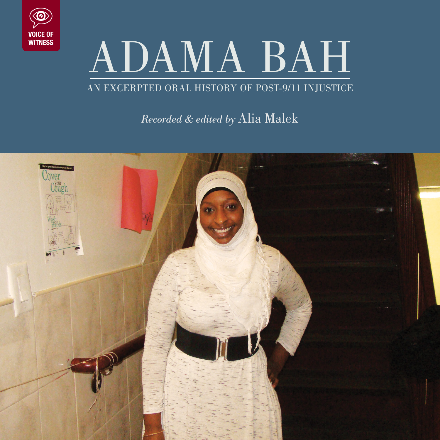

# ADAMA BAH

## AN EXCERPTED ORAL HISTORY OF POST-9/11 INJUSTICE

## *Recorded & edited by* Alia Malek

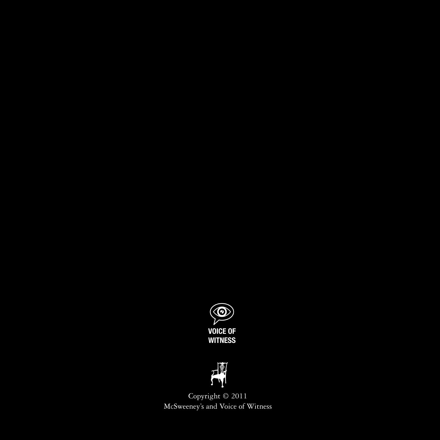



Copyright © 2011 McSweeney's and Voice of Witness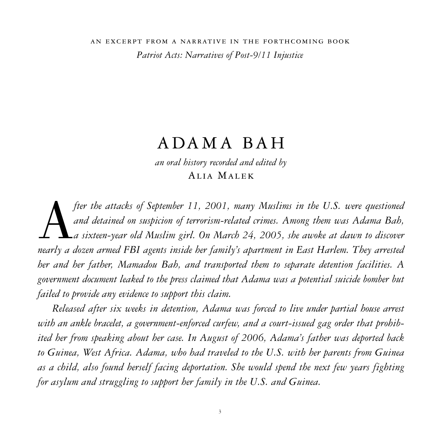## an excerpt from a narrative in the forthcoming book *Patriot Acts: Narratives of Post-9/11 Injustice*

# ADAMA BAH

*an oral history recorded and edited by* Alia Malek

fter the attacks of September 11, 2001, many Muslims in the U.S. were questioned<br>and detained on suspicion of terrorism-related crimes. Among them was Adama Bah,<br>a sixteen-year old Muslim girl. On March 24, 2005, she awoke *and detained on suspicion of terrorism-related crimes. Among them was Adama Bah, a sixteen-year old Muslim girl. On March 24, 2005, she awoke at dawn to discover nearly a dozen armed FBI agents inside her family's apartment in East Harlem. They arrested her and her father, Mamadou Bah, and transported them to separate detention facilities. A government document leaked to the press claimed that Adama was a potential suicide bomber but failed to provide any evidence to support this claim.* 

*Released after six weeks in detention, Adama was forced to live under partial house arrest with an ankle bracelet, a government-enforced curfew, and a court-issued gag order that prohibited her from speaking about her case. In August of 2006, Adama's father was deported back to Guinea, West Africa. Adama, who had traveled to the U.S. with her parents from Guinea as a child, also found herself facing deportation. She would spend the next few years fighting for asylum and struggling to support her family in the U.S. and Guinea.*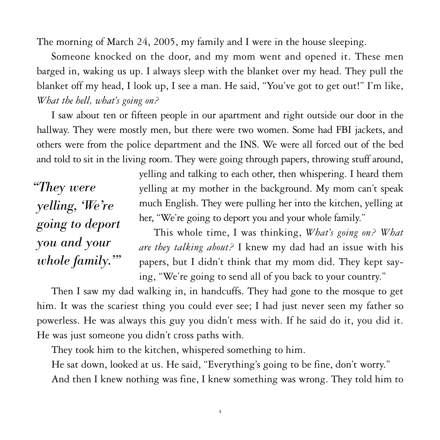The morning of March 24, 2005, my family and I were in the house sleeping.

Someone knocked on the door, and my mom went and opened it. These men barged in, waking us up. I always sleep with the blanket over my head. They pull the blanket off my head, I look up, I see a man. He said, "You've got to get out!" I'm like, *What the hell, what's going on?* 

I saw about ten or fifteen people in our apartment and right outside our door in the hallway. They were mostly men, but there were two women. Some had FBI jackets, and others were from the police department and the INS. We were all forced out of the bed and told to sit in the living room. They were going through papers, throwing stuff around,

*"They were yelling, 'We're going to deport you and your whole family.'"* yelling and talking to each other, then whispering. I heard them yelling at my mother in the background. My mom can't speak much English. They were pulling her into the kitchen, yelling at her, "We're going to deport you and your whole family."

This whole time, I was thinking, *What's going on? What are they talking about?* I knew my dad had an issue with his papers, but I didn't think that my mom did. They kept saying, "We're going to send all of you back to your country."

Then I saw my dad walking in, in handcuffs. They had gone to the mosque to get him. It was the scariest thing you could ever see; I had just never seen my father so powerless. He was always this guy you didn't mess with. If he said do it, you did it. He was just someone you didn't cross paths with.

They took him to the kitchen, whispered something to him.

He sat down, looked at us. He said, "Everything's going to be fine, don't worry." And then I knew nothing was fine, I knew something was wrong. They told him to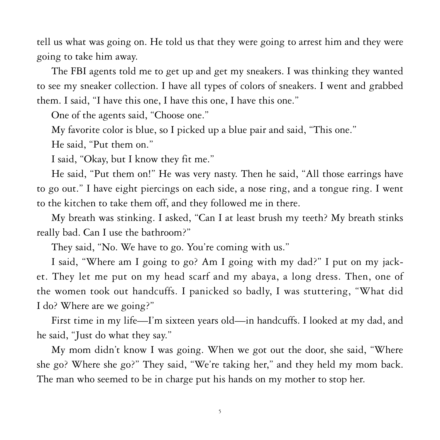tell us what was going on. He told us that they were going to arrest him and they were going to take him away.

The FBI agents told me to get up and get my sneakers. I was thinking they wanted to see my sneaker collection. I have all types of colors of sneakers. I went and grabbed them. I said, "I have this one, I have this one, I have this one."

One of the agents said, "Choose one."

My favorite color is blue, so I picked up a blue pair and said, "This one."

He said, "Put them on."

I said, "Okay, but I know they fit me."

He said, "Put them on!" He was very nasty. Then he said, "All those earrings have to go out." I have eight piercings on each side, a nose ring, and a tongue ring. I went to the kitchen to take them off, and they followed me in there.

My breath was stinking. I asked, "Can I at least brush my teeth? My breath stinks really bad. Can I use the bathroom?"

They said, "No. We have to go. You're coming with us."

I said, "Where am I going to go? Am I going with my dad?" I put on my jacket. They let me put on my head scarf and my abaya, a long dress. Then, one of the women took out handcuffs. I panicked so badly, I was stuttering, "What did I do? Where are we going?"

First time in my life—I'm sixteen years old—in handcuffs. I looked at my dad, and he said, "Just do what they say."

My mom didn't know I was going. When we got out the door, she said, "Where she go? Where she go?" They said, "We're taking her," and they held my mom back. The man who seemed to be in charge put his hands on my mother to stop her.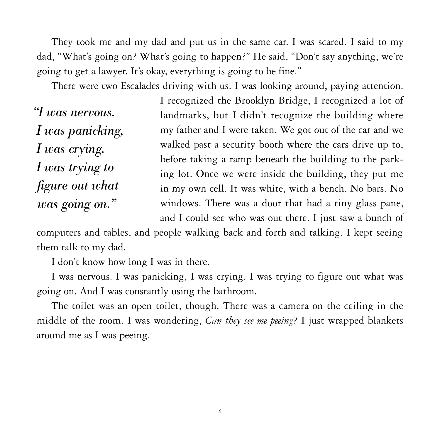They took me and my dad and put us in the same car. I was scared. I said to my dad, "What's going on? What's going to happen?" He said, "Don't say anything, we're going to get a lawyer. It's okay, everything is going to be fine."

There were two Escalades driving with us. I was looking around, paying attention.

*"I was nervous. I was panicking, I was crying. I was trying to figure out what was going on."*

I recognized the Brooklyn Bridge, I recognized a lot of landmarks, but I didn't recognize the building where my father and I were taken. We got out of the car and we walked past a security booth where the cars drive up to, before taking a ramp beneath the building to the parking lot. Once we were inside the building, they put me in my own cell. It was white, with a bench. No bars. No windows. There was a door that had a tiny glass pane, and I could see who was out there. I just saw a bunch of

computers and tables, and people walking back and forth and talking. I kept seeing them talk to my dad.

I don't know how long I was in there.

I was nervous. I was panicking, I was crying. I was trying to figure out what was going on. And I was constantly using the bathroom.

The toilet was an open toilet, though. There was a camera on the ceiling in the middle of the room. I was wondering, *Can they see me peeing*? I just wrapped blankets around me as I was peeing.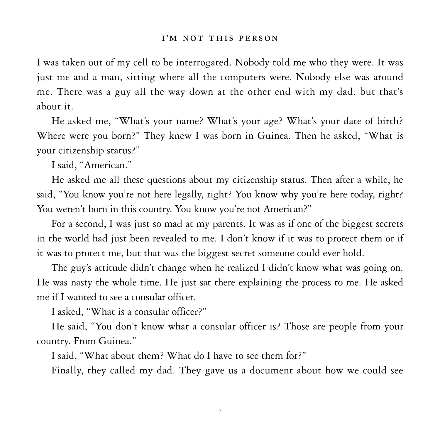I was taken out of my cell to be interrogated. Nobody told me who they were. It was just me and a man, sitting where all the computers were. Nobody else was around me. There was a guy all the way down at the other end with my dad, but that's about it.

He asked me, "What's your name? What's your age? What's your date of birth? Where were you born?" They knew I was born in Guinea. Then he asked, "What is your citizenship status?"

I said, "American."

He asked me all these questions about my citizenship status. Then after a while, he said, "You know you're not here legally, right? You know why you're here today, right? You weren't born in this country. You know you're not American?"

For a second, I was just so mad at my parents. It was as if one of the biggest secrets in the world had just been revealed to me. I don't know if it was to protect them or if it was to protect me, but that was the biggest secret someone could ever hold.

The guy's attitude didn't change when he realized I didn't know what was going on. He was nasty the whole time. He just sat there explaining the process to me. He asked me if I wanted to see a consular officer.

I asked, "What is a consular officer?"

He said, "You don't know what a consular officer is? Those are people from your country. From Guinea."

I said, "What about them? What do I have to see them for?"

Finally, they called my dad. They gave us a document about how we could see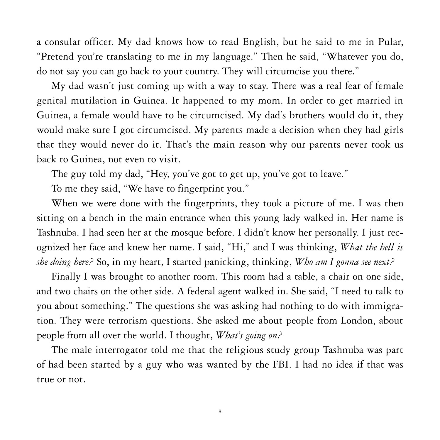a consular officer. My dad knows how to read English, but he said to me in Pular, "Pretend you're translating to me in my language." Then he said, "Whatever you do, do not say you can go back to your country. They will circumcise you there."

My dad wasn't just coming up with a way to stay. There was a real fear of female genital mutilation in Guinea. It happened to my mom. In order to get married in Guinea, a female would have to be circumcised. My dad's brothers would do it, they would make sure I got circumcised. My parents made a decision when they had girls that they would never do it. That's the main reason why our parents never took us back to Guinea, not even to visit.

The guy told my dad, "Hey, you've got to get up, you've got to leave."

To me they said, "We have to fingerprint you."

When we were done with the fingerprints, they took a picture of me. I was then sitting on a bench in the main entrance when this young lady walked in. Her name is Tashnuba. I had seen her at the mosque before. I didn't know her personally. I just recognized her face and knew her name. I said, "Hi," and I was thinking, *What the hell is she doing here?* So, in my heart, I started panicking, thinking, *Who am I gonna see next?*

Finally I was brought to another room. This room had a table, a chair on one side, and two chairs on the other side. A federal agent walked in. She said, "I need to talk to you about something." The questions she was asking had nothing to do with immigration. They were terrorism questions. She asked me about people from London, about people from all over the world. I thought, *What's going on?*

The male interrogator told me that the religious study group Tashnuba was part of had been started by a guy who was wanted by the FBI. I had no idea if that was true or not.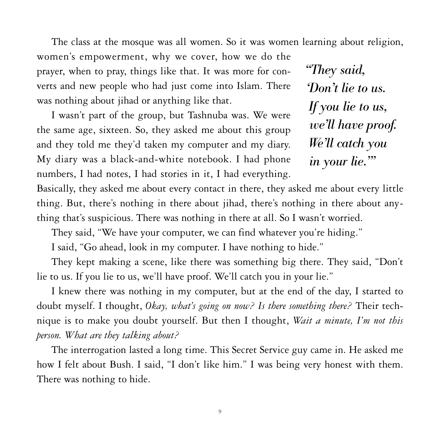The class at the mosque was all women. So it was women learning about religion,

women's empowerment, why we cover, how we do the prayer, when to pray, things like that. It was more for converts and new people who had just come into Islam. There was nothing about jihad or anything like that.

I wasn't part of the group, but Tashnuba was. We were the same age, sixteen. So, they asked me about this group and they told me they'd taken my computer and my diary. My diary was a black-and-white notebook. I had phone numbers, I had notes, I had stories in it, I had everything. *"They said, 'Don't lie to us. If you lie to us, we'll have proof. We'll catch you in your lie.'"*

Basically, they asked me about every contact in there, they asked me about every little thing. But, there's nothing in there about jihad, there's nothing in there about anything that's suspicious. There was nothing in there at all. So I wasn't worried.

They said, "We have your computer, we can find whatever you're hiding."

I said, "Go ahead, look in my computer. I have nothing to hide."

They kept making a scene, like there was something big there. They said, "Don't lie to us. If you lie to us, we'll have proof. We'll catch you in your lie."

I knew there was nothing in my computer, but at the end of the day, I started to doubt myself. I thought, *Okay, what's going on now? Is there something there?* Their technique is to make you doubt yourself. But then I thought, *Wait a minute, I'm not this person. What are they talking about?*

The interrogation lasted a long time. This Secret Service guy came in. He asked me how I felt about Bush. I said, "I don't like him." I was being very honest with them. There was nothing to hide.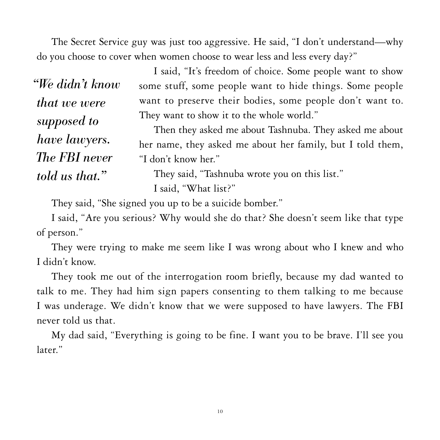The Secret Service guy was just too aggressive. He said, "I don't understand—why do you choose to cover when women choose to wear less and less every day?"

|                     | I said, "It's freedom of choice. Some people want to show  |
|---------------------|------------------------------------------------------------|
| "We didn't know     | some stuff, some people want to hide things. Some people   |
| <i>that we were</i> | want to preserve their bodies, some people don't want to.  |
| supposed to         | They want to show it to the whole world."                  |
|                     | Then they asked me about Tashnuba. They asked me about     |
| have lawyers.       | her name, they asked me about her family, but I told them, |
| The FBI never       | "I don't know her."                                        |
| told us that."      | They said, "Tashnuba wrote you on this list."              |
|                     | I said, "What list?"                                       |

They said, "She signed you up to be a suicide bomber."

I said, "Are you serious? Why would she do that? She doesn't seem like that type of person."

They were trying to make me seem like I was wrong about who I knew and who I didn't know.

They took me out of the interrogation room briefly, because my dad wanted to talk to me. They had him sign papers consenting to them talking to me because I was underage. We didn't know that we were supposed to have lawyers. The FBI never told us that.

My dad said, "Everything is going to be fine. I want you to be brave. I'll see you later."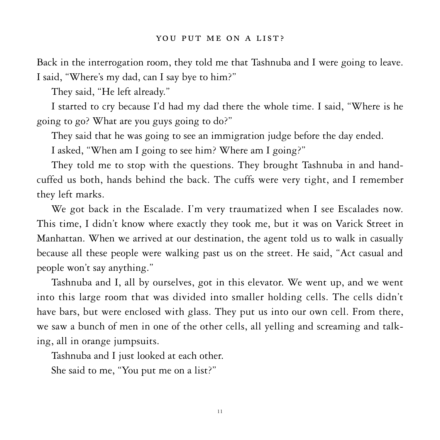Back in the interrogation room, they told me that Tashnuba and I were going to leave. I said, "Where's my dad, can I say bye to him?"

They said, "He left already."

I started to cry because I'd had my dad there the whole time. I said, "Where is he going to go? What are you guys going to do?"

They said that he was going to see an immigration judge before the day ended.

I asked, "When am I going to see him? Where am I going?"

They told me to stop with the questions. They brought Tashnuba in and handcuffed us both, hands behind the back. The cuffs were very tight, and I remember they left marks.

We got back in the Escalade. I'm very traumatized when I see Escalades now. This time, I didn't know where exactly they took me, but it was on Varick Street in Manhattan. When we arrived at our destination, the agent told us to walk in casually because all these people were walking past us on the street. He said, "Act casual and people won't say anything."

Tashnuba and I, all by ourselves, got in this elevator. We went up, and we went into this large room that was divided into smaller holding cells. The cells didn't have bars, but were enclosed with glass. They put us into our own cell. From there, we saw a bunch of men in one of the other cells, all yelling and screaming and talking, all in orange jumpsuits.

Tashnuba and I just looked at each other.

She said to me, "You put me on a list?"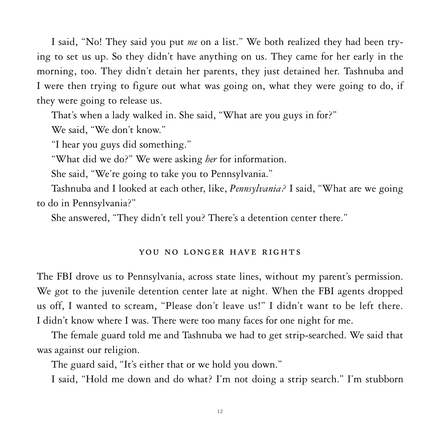I said, "No! They said you put *me* on a list." We both realized they had been trying to set us up. So they didn't have anything on us. They came for her early in the morning, too. They didn't detain her parents, they just detained her. Tashnuba and I were then trying to figure out what was going on, what they were going to do, if they were going to release us.

That's when a lady walked in. She said, "What are you guys in for?"

We said, "We don't know."

"I hear you guys did something."

"What did we do?" We were asking *her* for information.

She said, "We're going to take you to Pennsylvania."

Tashnuba and I looked at each other, like, *Pennsylvania?* I said, "What are we going to do in Pennsylvania?"

She answered, "They didn't tell you? There's a detention center there."

#### you no longer have rights

The FBI drove us to Pennsylvania, across state lines, without my parent's permission. We got to the juvenile detention center late at night. When the FBI agents dropped us off, I wanted to scream, "Please don't leave us!" I didn't want to be left there. I didn't know where I was. There were too many faces for one night for me.

The female guard told me and Tashnuba we had to get strip-searched. We said that was against our religion.

The guard said, "It's either that or we hold you down."

I said, "Hold me down and do what? I'm not doing a strip search." I'm stubborn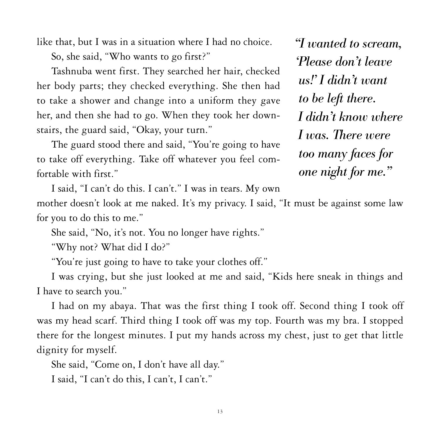like that, but I was in a situation where I had no choice.

So, she said, "Who wants to go first?"

Tashnuba went first. They searched her hair, checked her body parts; they checked everything. She then had to take a shower and change into a uniform they gave her, and then she had to go. When they took her downstairs, the guard said, "Okay, your turn."

The guard stood there and said, "You're going to have to take off everything. Take off whatever you feel comfortable with first."

*"I wanted to scream, 'Please don't leave us!' I didn't want to be left there. I didn't know where I was. There were too many faces for one night for me."* 

I said, "I can't do this. I can't." I was in tears. My own

mother doesn't look at me naked. It's my privacy. I said, "It must be against some law for you to do this to me."

She said, "No, it's not. You no longer have rights."

"Why not? What did I do?"

"You're just going to have to take your clothes off."

I was crying, but she just looked at me and said, "Kids here sneak in things and I have to search you."

I had on my abaya. That was the first thing I took off. Second thing I took off was my head scarf. Third thing I took off was my top. Fourth was my bra. I stopped there for the longest minutes. I put my hands across my chest, just to get that little dignity for myself.

She said, "Come on, I don't have all day."

I said, "I can't do this, I can't, I can't."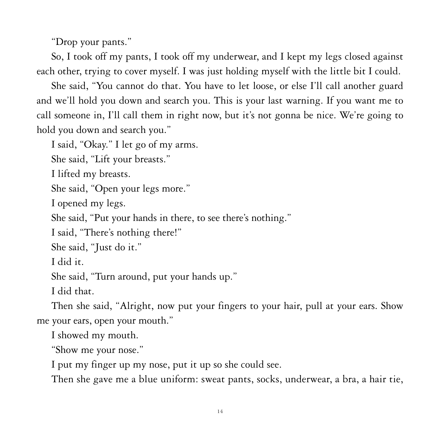"Drop your pants."

So, I took off my pants, I took off my underwear, and I kept my legs closed against each other, trying to cover myself. I was just holding myself with the little bit I could.

She said, "You cannot do that. You have to let loose, or else I'll call another guard and we'll hold you down and search you. This is your last warning. If you want me to call someone in, I'll call them in right now, but it's not gonna be nice. We're going to hold you down and search you."

I said, "Okay." I let go of my arms.

She said, "Lift your breasts."

I lifted my breasts.

She said, "Open your legs more."

I opened my legs.

She said, "Put your hands in there, to see there's nothing."

I said, "There's nothing there!"

She said, "Just do it."

I did it.

She said, "Turn around, put your hands up."

I did that.

Then she said, "Alright, now put your fingers to your hair, pull at your ears. Show me your ears, open your mouth."

I showed my mouth.

"Show me your nose."

I put my finger up my nose, put it up so she could see.

Then she gave me a blue uniform: sweat pants, socks, underwear, a bra, a hair tie,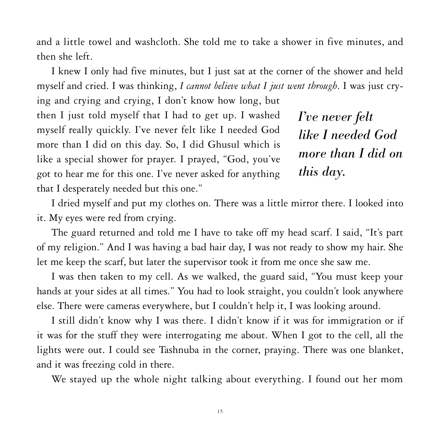and a little towel and washcloth. She told me to take a shower in five minutes, and then she left.

I knew I only had five minutes, but I just sat at the corner of the shower and held myself and cried. I was thinking, *I cannot believe what I just went through*. I was just cry-

ing and crying and crying, I don't know how long, but then I just told myself that I had to get up. I washed myself really quickly. I've never felt like I needed God more than I did on this day. So, I did Ghusul which is like a special shower for prayer. I prayed, "God, you've got to hear me for this one. I've never asked for anything that I desperately needed but this one."

*I've never felt like I needed God more than I did on this day.*

I dried myself and put my clothes on. There was a little mirror there. I looked into it. My eyes were red from crying.

The guard returned and told me I have to take off my head scarf. I said, "It's part of my religion." And I was having a bad hair day, I was not ready to show my hair. She let me keep the scarf, but later the supervisor took it from me once she saw me.

I was then taken to my cell. As we walked, the guard said, "You must keep your hands at your sides at all times." You had to look straight, you couldn't look anywhere else. There were cameras everywhere, but I couldn't help it, I was looking around.

I still didn't know why I was there. I didn't know if it was for immigration or if it was for the stuff they were interrogating me about. When I got to the cell, all the lights were out. I could see Tashnuba in the corner, praying. There was one blanket, and it was freezing cold in there.

We stayed up the whole night talking about everything. I found out her mom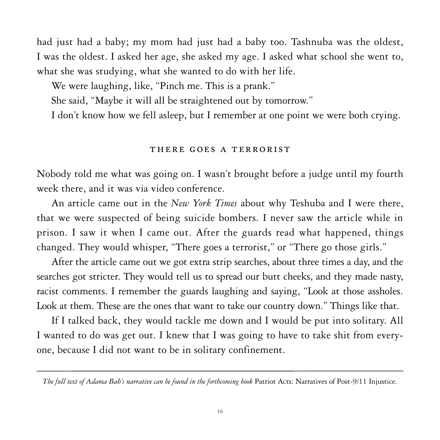had just had a baby; my mom had just had a baby too. Tashnuba was the oldest, I was the oldest. I asked her age, she asked my age. I asked what school she went to, what she was studying, what she wanted to do with her life.

We were laughing, like, "Pinch me. This is a prank."

She said, "Maybe it will all be straightened out by tomorrow."

I don't know how we fell asleep, but I remember at one point we were both crying.

#### there goes a terrorist

Nobody told me what was going on. I wasn't brought before a judge until my fourth week there, and it was via video conference.

An article came out in the *New York Times* about why Teshuba and I were there, that we were suspected of being suicide bombers. I never saw the article while in prison. I saw it when I came out. After the guards read what happened, things changed. They would whisper, "There goes a terrorist," or "There go those girls."

After the article came out we got extra strip searches, about three times a day, and the searches got stricter. They would tell us to spread our butt cheeks, and they made nasty, racist comments. I remember the guards laughing and saying, "Look at those assholes. Look at them. These are the ones that want to take our country down." Things like that.

If I talked back, they would tackle me down and I would be put into solitary. All I wanted to do was get out. I knew that I was going to have to take shit from everyone, because I did not want to be in solitary confinement.

*The full text of Adama Bah's narrative can be found in the forthcoming book Patriot Acts: Narratives of Post-9/11 Injustice.*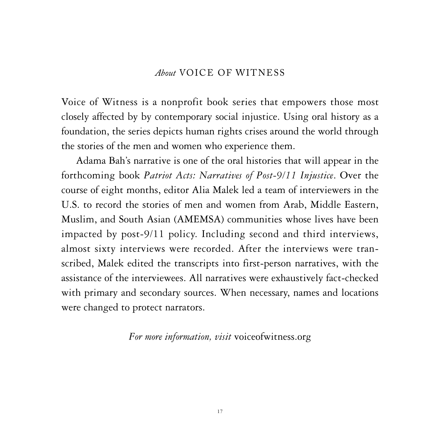#### *About* VOICE OF WITNESS

Voice of Witness is a nonprofit book series that empowers those most closely affected by by contemporary social injustice. Using oral history as a foundation, the series depicts human rights crises around the world through the stories of the men and women who experience them.

Adama Bah's narrative is one of the oral histories that will appear in the forthcoming book *Patriot Acts: Narratives of Post-9/11 Injustice*. Over the course of eight months, editor Alia Malek led a team of interviewers in the U.S. to record the stories of men and women from Arab, Middle Eastern, Muslim, and South Asian (AMEMSA) communities whose lives have been impacted by post-9/11 policy. Including second and third interviews, almost sixty interviews were recorded. After the interviews were transcribed, Malek edited the transcripts into first-person narratives, with the assistance of the interviewees. All narratives were exhaustively fact-checked with primary and secondary sources. When necessary, names and locations were changed to protect narrators.

*For more information, visit* voiceofwitness.org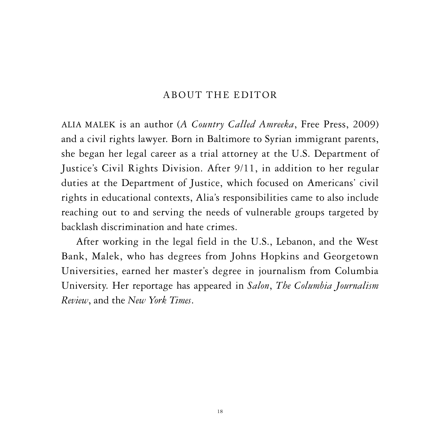### ABOUT THE EDITOR

ALIA MALEK is an author (*A Country Called Amreeka*, Free Press, 2009) and a civil rights lawyer. Born in Baltimore to Syrian immigrant parents, she began her legal career as a trial attorney at the U.S. Department of Justice's Civil Rights Division. After 9/11, in addition to her regular duties at the Department of Justice, which focused on Americans' civil rights in educational contexts, Alia's responsibilities came to also include reaching out to and serving the needs of vulnerable groups targeted by backlash discrimination and hate crimes.

After working in the legal field in the U.S., Lebanon, and the West Bank, Malek, who has degrees from Johns Hopkins and Georgetown Universities, earned her master's degree in journalism from Columbia University. Her reportage has appeared in *Salon*, *The Columbia Journalism Review*, and the *New York Times*.